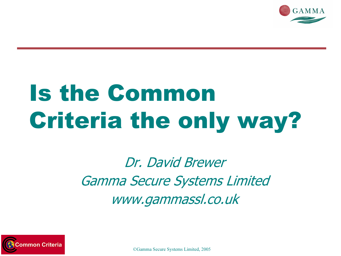

## Is the Common Criteria the only way?

Dr. David Brewer Gamma Secure Systems Limited www.gammassl.co.uk

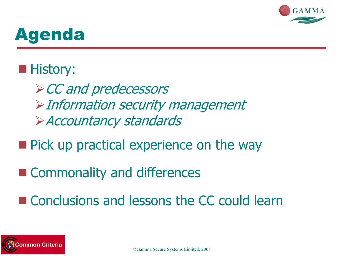

### Agenda

#### **History:**

-CC and predecessors -Information security management -Accountancy standards

- **Pick up practical experience on the way**
- **Example 2 Commonality and differences**
- Conclusions and lessons the CC could learn

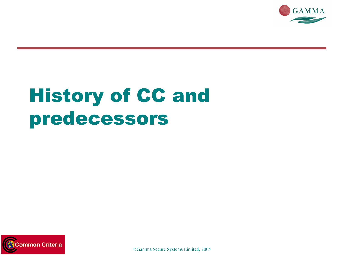

## History of CC and predecessors

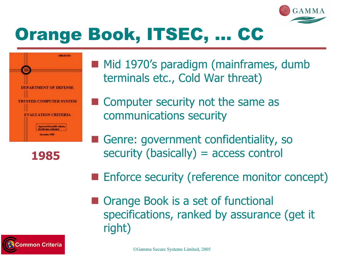



1985

**Service Service**  Mid 1970's paradigm (mainframes, dumb terminals etc., Cold War threat)

- **Service Service**  Computer security not the same as communications security
- **Service Service**  Genre: government confidentiality, so security (basically) = access control
- **Enforce security (reference monitor concept)**
- Orange Book is a set of functional specifications, ranked by assurance (get it right)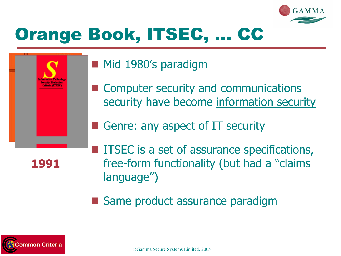

- **Mid 1980's paradigm**
- Computer security and communications security have become information security
- **Service Service** Genre: any aspect of IT security

1991

- **ITSEC is a set of assurance specifications,** free-form functionality (but had a "claims language")
- Same product assurance paradigm

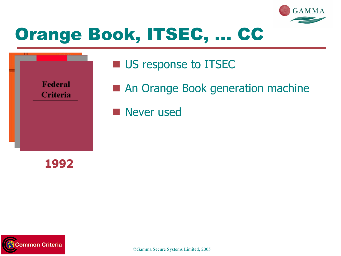



- **US response to ITSEC**
- An Orange Book generation machine
- **Never used**

1992

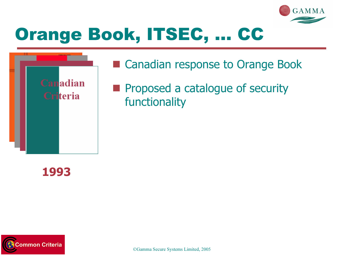



#### ■ Canadian response to Orange Book

**Proposed a catalogue of security** functionality

#### 1993

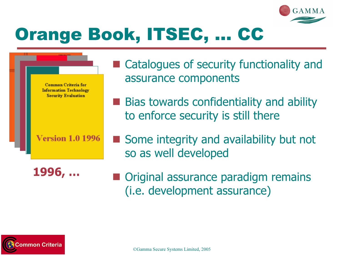



**Version 1.0 1996** 

1996, …

- **Service Service**  Catalogues of security functionality and assurance components
- **Bias towards confidentiality and ability** to enforce security is still there
- Some integrity and availability but not so as well developed
- **Original assurance paradigm remains** (i.e. development assurance)

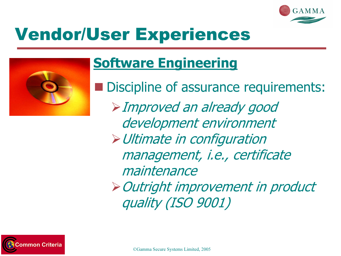

## Vendor/User Experiences



#### Software Engineering

 Discipline of assurance requirements: -Improved an already good development environment -Ultimate in configuration management, i.e., certificate maintenance-Outright improvement in product quality (ISO 9001)

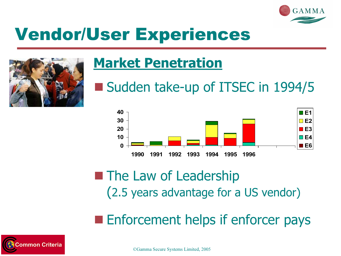

## Vendor/User Experiences



#### Market Penetration

Sudden take-up of ITSEC in 1994/5



#### **The Law of Leadership** (2.5 years advantage for a US vendor)

**Enforcement helps if enforcer pays** 

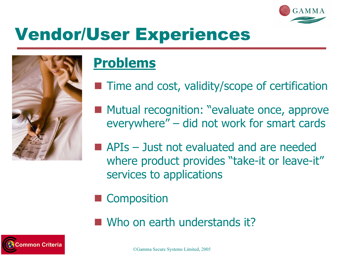

## Vendor/User Experiences



#### Problems

- **Time and cost, validity/scope of certification**
- **Mutual recognition: "evaluate once, approve** everywhere" – did not work for smart cards
- **APIs Just not evaluated and are needed** where product provides "take-it or leave-it" services to applications
- **Service Service Composition**
- Who on earth understands it?

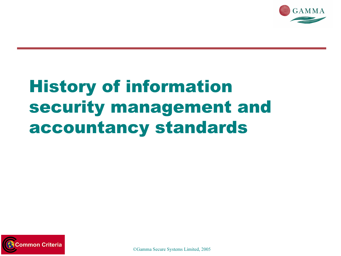

## History of information security management and accountancy standards

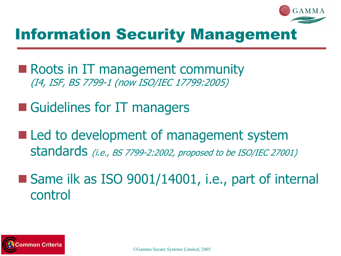

#### Information Security Management

- Roots in IT management community (I4, ISF, BS 7799-1 (now ISO/IEC 17799:2005)
- **Guidelines for IT managers**
- Led to development of management system standards (i.e., BS 7799-2:2002, proposed to be ISO/IEC 27001)
- Same ilk as ISO 9001/14001, i.e., part of internal control

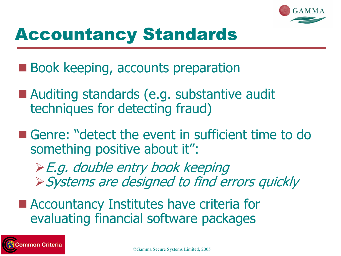

## Accountancy Standards

- Book keeping, accounts preparation
- Auditing standards (e.g. substantive audit techniques for detecting fraud)
- Genre: "detect the event in sufficient time to do something positive about it":
	- -E.g. double entry book keeping -Systems are designed to find errors quickly
- Accountancy Institutes have criteria for evaluating financial software packages

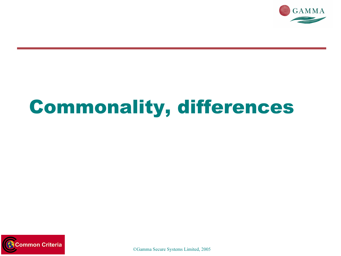

## Commonality, differences

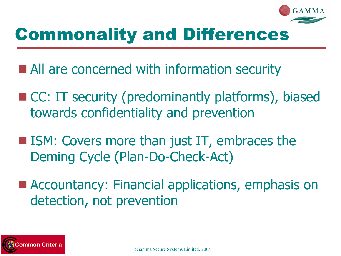

## Commonality and Differences

- All are concerned with information security
- CC: IT security (predominantly platforms), biased towards confidentiality and prevention
- **ISM: Covers more than just IT, embraces the** Deming Cycle (Plan-Do-Check-Act)
- Accountancy: Financial applications, emphasis on detection, not prevention

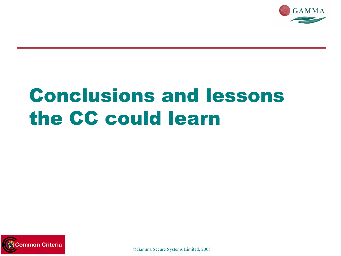

## Conclusions and lessons the CC could learn

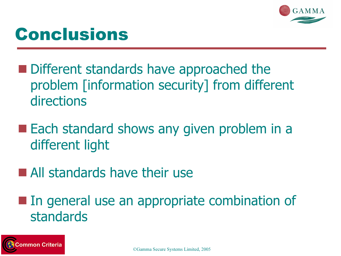

### Conclusions

- Different standards have approached the problem [information security] from different directions
- Each standard shows any given problem in a different light
- **All standards have their use**

**In general use an appropriate combination of** standards

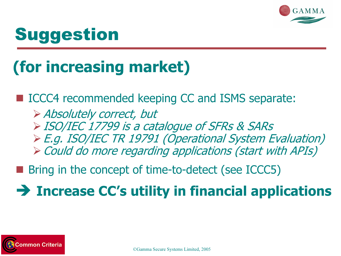

## **Suggestion**

## (for increasing market)

■ ICCC4 recommended keeping CC and ISMS separate: -Absolutely correct, but -ISO/IEC 17799 is a catalogue of SFRs & SARs -E.g. ISO/IEC TR 19791 (Operational System Evaluation)  $\triangleright$  Could do more regarding applications (start with APIs)

in<br>List Bring in the concept of time-to-detect (see ICCC5)

Increase CC's utility in financial applications